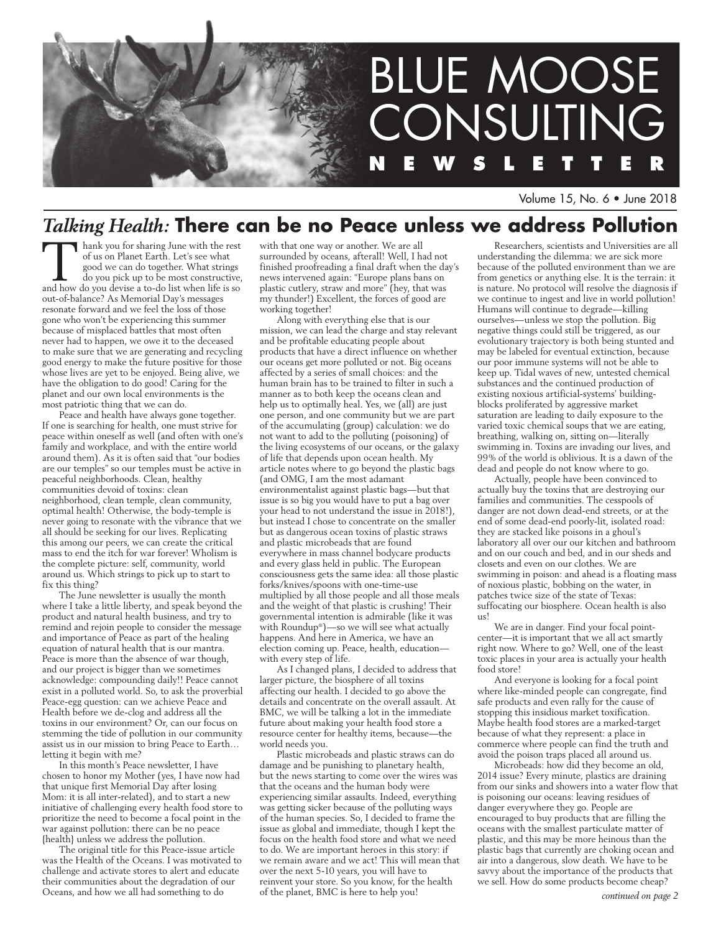

Volume 15, No. 6 • June 2018

# *Talking Health:* **There can be no Peace unless we address Pollution**

Thank you for sharing June with the rest of us on Planet Earth. Let's see what good we can do together. What strings do you pick up to be most constructive, and how do you devise a to-do list when life is so out-of-balance? As Memorial Day's messages resonate forward and we feel the loss of those gone who won't be experiencing this summer because of misplaced battles that most often never had to happen, we owe it to the deceased to make sure that we are generating and recycling good energy to make the future positive for those whose lives are yet to be enjoyed. Being alive, we have the obligation to do good! Caring for the planet and our own local environments is the most patriotic thing that we can do.

Peace and health have always gone together. If one is searching for health, one must strive for peace within oneself as well (and often with one's family and workplace, and with the entire world around them). As it is often said that "our bodies are our temples" so our temples must be active in peaceful neighborhoods. Clean, healthy communities devoid of toxins: clean neighborhood, clean temple, clean community, optimal health! Otherwise, the body-temple is never going to resonate with the vibrance that we all should be seeking for our lives. Replicating this among our peers, we can create the critical mass to end the itch for war forever! Wholism is the complete picture: self, community, world around us. Which strings to pick up to start to fix this thing?

The June newsletter is usually the month where I take a little liberty, and speak beyond the product and natural health business, and try to remind and rejoin people to consider the message and importance of Peace as part of the healing equation of natural health that is our mantra. Peace is more than the absence of war though, and our project is bigger than we sometimes acknowledge: compounding daily!! Peace cannot exist in a polluted world. So, to ask the proverbial Peace-egg question: can we achieve Peace and Health before we de-clog and address all the toxins in our environment? Or, can our focus on stemming the tide of pollution in our community assist us in our mission to bring Peace to Earth… letting it begin with me?

In this month's Peace newsletter, I have chosen to honor my Mother (yes, I have now had that unique first Memorial Day after losing Mom: it is all inter-related), and to start a new initiative of challenging every health food store to prioritize the need to become a focal point in the war against pollution: there can be no peace {health} unless we address the pollution.

The original title for this Peace-issue article was the Health of the Oceans. I was motivated to challenge and activate stores to alert and educate their communities about the degradation of our Oceans, and how we all had something to do

with that one way or another. We are all surrounded by oceans, afterall! Well, I had not finished proofreading a final draft when the day's news intervened again: "Europe plans bans on plastic cutlery, straw and more" (hey, that was my thunder!) Excellent, the forces of good are working together!

Along with everything else that is our mission, we can lead the charge and stay relevant and be profitable educating people about products that have a direct influence on whether our oceans get more polluted or not. Big oceans affected by a series of small choices: and the human brain has to be trained to filter in such a manner as to both keep the oceans clean and help us to optimally heal. Yes, we (all) are just one person, and one community but we are part of the accumulating (group) calculation: we do not want to add to the polluting (poisoning) of the living ecosystems of our oceans, or the galaxy of life that depends upon ocean health. My article notes where to go beyond the plastic bags (and OMG, I am the most adamant environmentalist against plastic bags—but that issue is so big you would have to put a bag over your head to not understand the issue in 2018!), but instead I chose to concentrate on the smaller but as dangerous ocean toxins of plastic straws and plastic microbeads that are found everywhere in mass channel bodycare products and every glass held in public. The European consciousness gets the same idea: all those plastic forks/knives/spoons with one-time-use multiplied by all those people and all those meals and the weight of that plastic is crushing! Their governmental intention is admirable (like it was with Roundup®)—so we will see what actually happens. And here in America, we have an election coming up. Peace, health, education with every step of life.

As I changed plans, I decided to address that larger picture, the biosphere of all toxins affecting our health. I decided to go above the details and concentrate on the overall assault. At BMC, we will be talking a lot in the immediate future about making your health food store a resource center for healthy items, because—the world needs you.

Plastic microbeads and plastic straws can do damage and be punishing to planetary health, but the news starting to come over the wires was that the oceans and the human body were experiencing similar assaults. Indeed, everything was getting sicker because of the polluting ways of the human species. So, I decided to frame the issue as global and immediate, though I kept the focus on the health food store and what we need to do. We are important heroes in this story: if we remain aware and we act! This will mean that over the next 5-10 years, you will have to reinvent your store. So you know, for the health of the planet, BMC is here to help you!

Researchers, scientists and Universities are all understanding the dilemma: we are sick more because of the polluted environment than we are from genetics or anything else. It is the terrain: it is nature. No protocol will resolve the diagnosis if we continue to ingest and live in world pollution! Humans will continue to degrade—killing ourselves—unless we stop the pollution. Big negative things could still be triggered, as our evolutionary trajectory is both being stunted and may be labeled for eventual extinction, because our poor immune systems will not be able to keep up. Tidal waves of new, untested chemical substances and the continued production of existing noxious artificial-systems' buildingblocks proliferated by aggressive market saturation are leading to daily exposure to the varied toxic chemical soups that we are eating, breathing, walking on, sitting on—literally swimming in. Toxins are invading our lives, and 99% of the world is oblivious. It is a dawn of the dead and people do not know where to go.

Actually, people have been convinced to actually buy the toxins that are destroying our families and communities. The cesspools of danger are not down dead-end streets, or at the end of some dead-end poorly-lit, isolated road: they are stacked like poisons in a ghoul's laboratory all over our our kitchen and bathroom and on our couch and bed, and in our sheds and closets and even on our clothes. We are swimming in poison: and ahead is a floating mass of noxious plastic, bobbing on the water, in patches twice size of the state of Texas: suffocating our biosphere. Ocean health is also us!

We are in danger. Find your focal pointcenter—it is important that we all act smartly right now. Where to go? Well, one of the least toxic places in your area is actually your health food store!

And everyone is looking for a focal point where like-minded people can congregate, find safe products and even rally for the cause of stopping this insidious market toxification. Maybe health food stores are a marked-target because of what they represent: a place in commerce where people can find the truth and avoid the poison traps placed all around us.

Microbeads: how did they become an old, 2014 issue? Every minute, plastics are draining from our sinks and showers into a water flow that is poisoning our oceans: leaving residues of danger everywhere they go. People are encouraged to buy products that are filling the oceans with the smallest particulate matter of plastic, and this may be more heinous than the plastic bags that currently are choking ocean and air into a dangerous, slow death. We have to be savvy about the importance of the products that we sell. How do some products become cheap?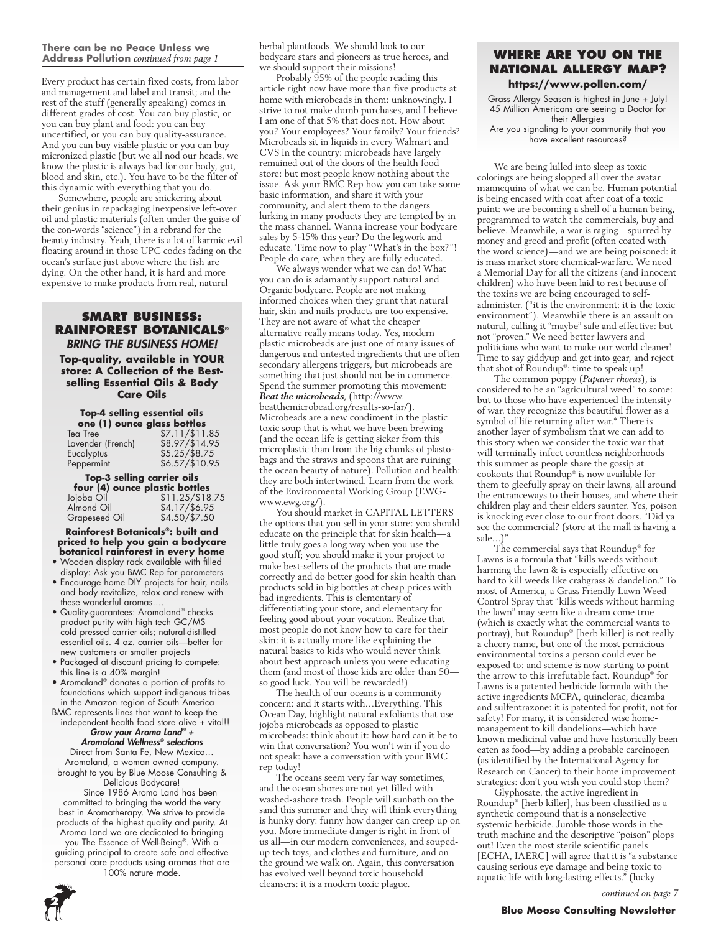#### **There can be no Peace Unless we Address Pollution** *continued from page 1*

Every product has certain fixed costs, from labor and management and label and transit; and the rest of the stuff (generally speaking) comes in different grades of cost. You can buy plastic, or you can buy plant and food: you can buy uncertified, or you can buy quality-assurance. And you can buy visible plastic or you can buy micronized plastic (but we all nod our heads, we know the plastic is always bad for our body, gut, blood and skin, etc.). You have to be the filter of this dynamic with everything that you do.

Somewhere, people are snickering about their genius in repackaging inexpensive left-over oil and plastic materials (often under the guise of the con-words "science") in a rebrand for the beauty industry. Yeah, there is a lot of karmic evil floating around in those UPC codes fading on the ocean's surface just above where the fish are dying. On the other hand, it is hard and more expensive to make products from real, natural

### **Smart Business: Rainforest Botanicals®** *bring the business home!*

**Top-quality, available in YOUR store: A Collection of the Bestselling Essential Oils & Body Care Oils**

| <b>Top-4 selling essential oils</b><br>one (1) ounce glass bottles |                          |  |
|--------------------------------------------------------------------|--------------------------|--|
| Tea Tree                                                           | \$7.11/\$11.85           |  |
| Lavender (French)                                                  | \$8.97/\$14.95           |  |
| Eucalyptus                                                         | $$5.25/\$8.75$           |  |
| Peppermint                                                         | \$6.57/ <sub>10.95</sub> |  |

| Top-3 selling carrier oils |                                |  |
|----------------------------|--------------------------------|--|
|                            | four (4) ounce plastic bottles |  |
| Jojoba Oil                 | $$11.25$ /\$18.75              |  |
| Almond Oil                 | \$4.17/\$6.95                  |  |
| <b>Grapeseed Oil</b>       | $$4.50/\$7.50$                 |  |

**Rainforest Botanicals®: built and priced to help you gain a bodycare botanical rainforest in every home**

- Wooden display rack available with filled display: Ask you BMC Rep for parameters
- Encourage home DIY projects for hair, nails and body revitalize, relax and renew with these wonderful aromas….
- Quality-guarantees: Aromaland® checks product purity with high tech GC/MS cold pressed carrier oils; natural-distilled essential oils. 4 oz. carrier oils—better for new customers or smaller projects
- Packaged at discount pricing to compete: this line is a 40% margin!
- Aromaland® donates a portion of profits to foundations which support indigenous tribes in the Amazon region of South America
- BMC represents lines that want to keep the independent health food store alive + vital!!

### *Grow your Aroma Land® + Aromaland Wellness® selections*

Direct from Santa Fe, New Mexico… Aromaland, a woman owned company. brought to you by Blue Moose Consulting & Delicious Bodycare!

Since 1986 Aroma Land has been committed to bringing the world the very best in Aromatherapy. We strive to provide products of the highest quality and purity. At Aroma Land we are dedicated to bringing you The Essence of Well-Being®. With a guiding principal to create safe and effective personal care products using aromas that are 100% nature made.

herbal plantfoods. We should look to our bodycare stars and pioneers as true heroes, and we should support their missions!

Probably 95% of the people reading this article right now have more than five products at home with microbeads in them: unknowingly. I strive to not make dumb purchases, and I believe I am one of that 5% that does not. How about you? Your employees? Your family? Your friends? Microbeads sit in liquids in every Walmart and CVS in the country: microbeads have largely remained out of the doors of the health food store: but most people know nothing about the issue. Ask your BMC Rep how you can take some basic information, and share it with your community, and alert them to the dangers lurking in many products they are tempted by in the mass channel. Wanna increase your bodycare sales by 5-15% this year? Do the legwork and educate. Time now to play "What's in the box?"! People do care, when they are fully educated.

We always wonder what we can do! What you can do is adamantly support natural and Organic bodycare. People are not making informed choices when they grunt that natural hair, skin and nails products are too expensive. They are not aware of what the cheaper alternative really means today. Yes, modern plastic microbeads are just one of many issues of dangerous and untested ingredients that are often secondary allergens triggers, but microbeads are something that just should not be in commerce. Spend the summer promoting this movement: *Beat the microbeads*, (http://www. beatthemicrobead.org/results-so-far/).

Microbeads are a new condiment in the plastic toxic soup that is what we have been brewing (and the ocean life is getting sicker from this microplastic than from the big chunks of plastobags and the straws and spoons that are ruining the ocean beauty of nature). Pollution and health: they are both intertwined. Learn from the work of the Environmental Working Group (EWGwww.ewg.org/).

You should market in CAPITAL LETTERS the options that you sell in your store: you should educate on the principle that for skin health—a little truly goes a long way when you use the good stuff; you should make it your project to make best-sellers of the products that are made correctly and do better good for skin health than products sold in big bottles at cheap prices with bad ingredients. This is elementary of differentiating your store, and elementary for feeling good about your vocation. Realize that most people do not know how to care for their skin: it is actually more like explaining the natural basics to kids who would never think about best approach unless you were educating them (and most of those kids are older than 50 so good luck. You will be rewarded!)

The health of our oceans is a community concern: and it starts with…Everything. This Ocean Day, highlight natural exfoliants that use jojoba microbeads as opposed to plastic microbeads: think about it: how hard can it be to win that conversation? You won't win if you do not speak: have a conversation with your BMC rep today!

The oceans seem very far way sometimes, and the ocean shores are not yet filled with washed-ashore trash. People will sunbath on the sand this summer and they will think everything is hunky dory: funny how danger can creep up on you. More immediate danger is right in front of us all—in our modern conveniences, and soupedup tech toys, and clothes and furniture, and on the ground we walk on. Again, this conversation has evolved well beyond toxic household cleansers: it is a modern toxic plague.

### **Where are you on the National Allergy Map? https://www.pollen.com/**

Grass Allergy Season is highest in June + July! 45 Million Americans are seeing a Doctor for their Allergies

Are you signaling to your community that you have excellent resources?

We are being lulled into sleep as toxic colorings are being slopped all over the avatar mannequins of what we can be. Human potential is being encased with coat after coat of a toxic paint: we are becoming a shell of a human being, programmed to watch the commercials, buy and believe. Meanwhile, a war is raging—spurred by money and greed and profit (often coated with the word science)—and we are being poisoned: it is mass market store chemical-warfare. We need a Memorial Day for all the citizens (and innocent children) who have been laid to rest because of the toxins we are being encouraged to selfadminister. ("it is the environment: it is the toxic environment"). Meanwhile there is an assault on natural, calling it "maybe" safe and effective: but not "proven." We need better lawyers and politicians who want to make our world cleaner! Time to say giddyup and get into gear, and reject that shot of Roundup®: time to speak up!

The common poppy (*Papaver rhoeas*), is considered to be an "agricultural weed" to some: but to those who have experienced the intensity of war, they recognize this beautiful flower as a symbol of life returning after war.\* There is another layer of symbolism that we can add to this story when we consider the toxic war that will terminally infect countless neighborhoods this summer as people share the gossip at cookouts that Roundup® is now available for them to gleefully spray on their lawns, all around the entranceways to their houses, and where their children play and their elders saunter. Yes, poison is knocking ever close to our front doors. "Did ya see the commercial? (store at the mall is having a sale…)"

The commercial says that Roundup® for Lawns is a formula that "kills weeds without harming the lawn & is especially effective on hard to kill weeds like crabgrass & dandelion." To most of America, a Grass Friendly Lawn Weed Control Spray that "kills weeds without harming the lawn" may seem like a dream come true (which is exactly what the commercial wants to portray), but Roundup® [herb killer] is not really a cheery name, but one of the most pernicious environmental toxins a person could ever be exposed to: and science is now starting to point the arrow to this irrefutable fact. Roundup® for Lawns is a patented herbicide formula with the active ingredients MCPA, quinclorac, dicamba and sulfentrazone: it is patented for profit, not for safety! For many, it is considered wise homemanagement to kill dandelions—which have known medicinal value and have historically been eaten as food—by adding a probable carcinogen (as identified by the International Agency for Research on Cancer) to their home improvement strategies: don't you wish you could stop them?

Glyphosate, the active ingredient in Roundup® [herb killer], has been classified as a synthetic compound that is a nonselective systemic herbicide. Jumble those words in the truth machine and the descriptive "poison" plops out! Even the most sterile scientific panels [ECHA, IAERC] will agree that it is "a substance causing serious eye damage and being toxic to aquatic life with long-lasting effects." (lucky



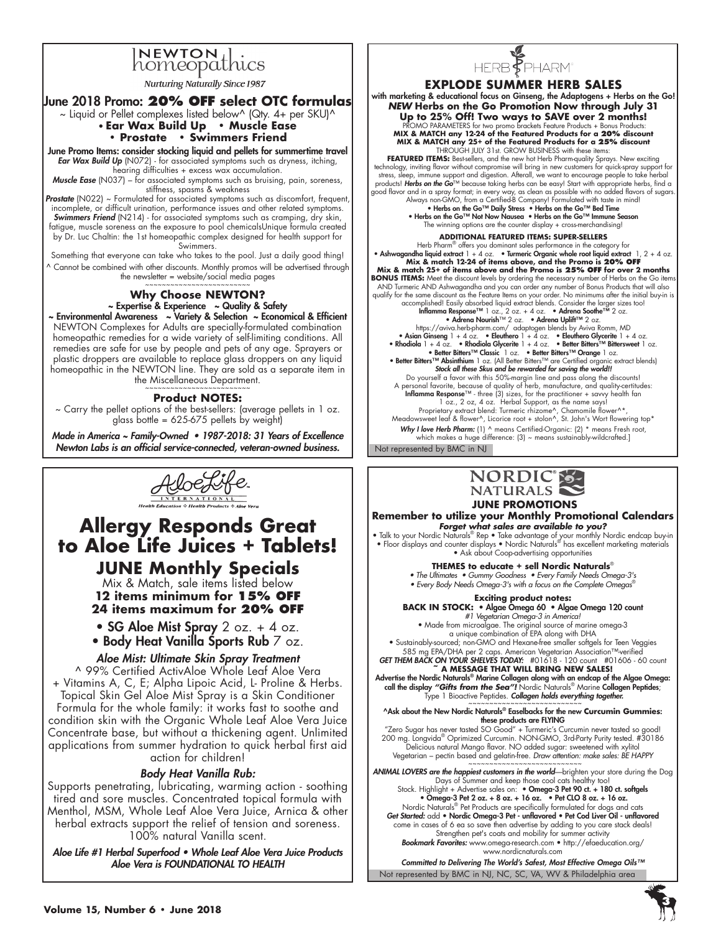

**Nurturing Naturally Since 1987** 

## June 2018 Promo: **20% OFF select OTC formulas**

 $\sim$  Liquid or Pellet complexes listed below^ (Qty. 4+ per SKU)^ • **Ear Wax Build Up • Muscle Ease** 

### **• Prostate • Swimmers Friend**

June Promo Items: consider stocking liquid and pellets for summertime travel *Ear Wax Build Up* (N072) - for associated symptoms such as dryness, itching, hearing difficulties + excess wax accumulation.

*Muscle Ease* (N037) – for associated symptoms such as bruising, pain, soreness, stiffness, spasms & weakness

Prostate (N022) ~ Formulated for associated symptoms such as discomfort, frequent, incomplete, or difficult urination, performance issues and other related symptoms. *Swimmers Friend* (N214) - for associated symptoms such as cramping, dry skin, fatigue, muscle soreness an the exposure to pool chemicalsUnique formula created by Dr. Luc Chaltin: the 1st homeopathic complex designed for health support for Swimmers.

Something that everyone can take who takes to the pool. Just a daily good thing! ^ Cannot be combined with other discounts. Monthly promos will be advertised through the newsletter = website/social media pages

### **Why Choose NEWTON?** ~ Expertise & Experience ~ Quality & Safety

~ Environmental Awareness ~ Variety & Selection ~ Economical & Efficient NEWTON Complexes for Adults are specially-formulated combination homeopathic remedies for a wide variety of self-limiting conditions. All remedies are safe for use by people and pets of any age. Sprayers or plastic droppers are available to replace glass droppers on any liquid homeopathic in the NEWTON line. They are sold as a separate item in the Miscellaneous Department.

## **Product NOTES:**

~ Carry the pellet options of the best-sellers: (average pellets in 1 oz. glass bottle =  $625-675$  pellets by weight)

Made in America ~ Family-Owned • *1987-2018: 31 Years of Excellence Newton Labs is an official service-connected, veteran-owned business.*



# **Allergy Responds Great to Aloe Life Juices + Tablets!**

**JUNE Monthly Specials** Mix & Match, sale items listed below

**12 items minimum for 15% OFF 24 items maximum for 20% OFF**

• SG Aloe Mist Spray  $2$  oz. + 4 oz. • Body Heat Vanilla Sports Rub 7 oz.

### *Aloe Mist: Ultimate Skin Spray Treatment*

^ 99% Certified ActivAloe Whole Leaf Aloe Vera + Vitamins A, C, E; Alpha Lipoic Acid, L- Proline & Herbs. Topical Skin Gel Aloe Mist Spray is a Skin Conditioner Formula for the whole family: it works fast to soothe and condition skin with the Organic Whole Leaf Aloe Vera Juice Concentrate base, but without a thickening agent. Unlimited applications from summer hydration to quick herbal first aid action for children!

### *Body Heat Vanilla Rub:*

Supports penetrating, lubricating, warming action - soothing tired and sore muscles. Concentrated topical formula with Menthol, MSM, Whole Leaf Aloe Vera Juice, Arnica & other herbal extracts support the relief of tension and soreness. 100% natural Vanilla scent.

Aloe Life #1 Herbal Superfood • Whole Leaf Aloe Vera Juice Products *Aloe Vera is FOUNDATIONAL TO HEALTH*



### **EXPLODE SUMMER HERB SALES**

with marketing & educational focus on Ginseng, the Adaptogens + Herbs on the Go! *NEW* **Herbs on the Go Promotion Now through July 31 Up to 25% Off! Two ways to SAVE over 2 months!**  PROMO PARAMETERS for two promo brackets Feature Products + Bonus Products: **MIX & MATCH any 12-24 of the Featured Products for a 20% discount MIX & MATCH any 25+ of the Featured Products for a 25% discount**  THROUGH JULY 31st. GROW BUSINESS with these items:

FEATURED ITEMS: Best-sellers, and the new hot Herb Pharm-quality Sprays. New exciting technology, inviting flavor without compromise will bring in new customers for quick-spray support for stress, sleep, immune support and digestion. Afterall, we want to encourage people to take herbal products! **Herbs on** 

### **ADDITIONAL Featured Items: Super-sellers**

Herb Pharm® offers you dominant sales performance in the category for<br>• Ashwagandha liquid extract 1 + 4 oz. • Turmeric Organic whole root liquid extract 1, 2 + 4 oz.<br>• Mix & match 12-24 of items above, and the Promo is 2 **Mix & match 25+ of items above and the Promo is 25% off for over 2 months BONUS ITEMS:** Meet the discount levels by ordering the necessary number of Herbs on the Go item<br>AND Turmeric AND Ashwagandha and you can order any number of Bonus Products that will also AND Turmeric AND Ashwagandha and you can order any number of Bonus Products that will also<br>qualify for the same discount as the Feature litems on your order. No minimums after the initial buy-in is<br>accomplishedl Easily ab **Stock all these Skus and be rewarded for saving the world!!**<br>Do yourself a favor with this 50%-margin line and pass along the discounts!<br>A personal favorite, because of quality of herb, manufacture, and quality-certitudes **Inflamma Response™** - three (3) sizes, for the practitioner + savvy health fan<br>1 oz., 2 oz, 4 oz. Herbal Support, as the name says!<br>Proprietary extract blend: Turmeric rhizome^, Chamomile flower^\*, Meadowsweet leaf & flower^, Licorice root + stolon^, St. John's Wort flowering top\* **Why I love Herb Pharm:** (1) ^ means Certified-Organic: (2) \* means Fresh root, which makes a huge difference: (3) ~ means sustainably-wildcrafted.]

Not represented by BMC in NJ



 **JUNE PROMOTIONS Remember to utilize your Monthly Promotional Calendars** *Forget what sales are available to you?*

• Talk to your Nordic Naturals® Rep • Take advantage of your monthly Nordic endcap buy-in • Floor displays and counter displays • Nordic Naturals® has excellent marketing materials • Ask about Coop-advertising opportunities

**THEMES to educate + sell Nordic Naturals**® • The Ultimates • Gummy Goodness • Every Family Needs Omega-3's

 $\bullet$  Every Body Needs Omega-3's with a focus on the Complete Omegas $^\circ$ 

**Exciting product notes: BACK IN STOCK:** • Algae Omega 60 • Algae Omega 120 count

#1 Vegetarian Omega-3 in America! • Made from microalgae. The original source of marine omega-3 a unique combination of EPA along with DHA

• Sustainably-sourced; non-GMO and Hexane-free smaller softgels for Teen Veggies 585 mg EPA/DHA per 2 caps. American Vegetarian Association™-verified<br>**GET THEM BACK ON YOUR SHELVES TODAY:** #01618 - 120 count #01606 - 60 count<br>**4 MESSAGE THAT WILL BRING NEW SALES!** 

Advertise the Nordic Naturals® Marine Collagen along with an endcap of the Algae Omega: call the display *"Gifts from the Sea"!* Nordic Naturals® Marine Collagen Peptides;

Type 1 Bioactive Peptides. Collagen holds everything together. ^Ask about the New Nordic Naturals® Easelbacks for the new **Curcumin Gummies**: these products are FLYING

"Zero Sugar has never tasted SO Good" + Turmeric's Curcumin never tasted so good! 200 mg. Longvida® Oprimized Curcumin. NON-GMO, 3rd-Party Purity tested. #30186 Delicious natural Mango flavor. NO added sugar: sweetened with xylitol Vegetarian – pectin based and gelatin-free. Draw attention: make sales: BE HAPPY ~~~~~~~~~~~~~~~~~~~~~~~~~~~

ANIMAL LOVERS are the happiest customers in the world—brighten your store during the Dog<br>Days of Summer and keep those cool cats healthy too!<br>Stock. Highlight + Advertise sales on: • Omega-3 Pet 90 ct. + 180 ct. softgels • Omega-3 Pet 2 oz. + 8 oz. + 16 oz. • Pet CLO 8 oz. + 16 oz. Nordic Naturals® Pet Products are specifically formulated for dogs and cats<br>**Get Started:** add • **Nordic Omega-3 Pet - unflavored • Pet Cod Liver Oil - unflavored**<br>come in cases of 6 ea so save then advertise by adding to Strengthen pet's coats and mobility for summer activity *Bookmark Favorites:* www.omega-research.com • http://efaeducation.org/ www.nordicnaturals.com

Not represented by BMC in NJ, NC, SC, VA, WV & Philadelphia area Committed to Delivering The World's Safest, Most Effective Omega Oils™

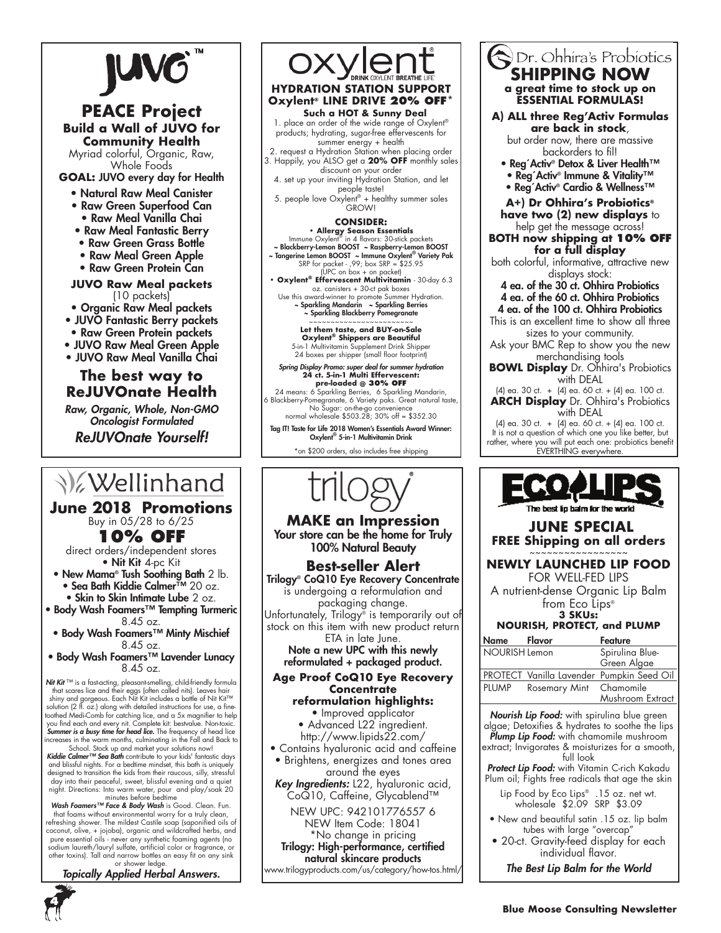

# **PEACE Project Build a Wall of JUVO for Community Health**

Myriad colorful, Organic, Raw, Whole Foods

**GOAL:** JUVO every day for Health

- Natural Raw Meal Canister
- Raw Green Superfood Can
- Raw Meal Vanilla Chai
- Raw Meal Fantastic Berry
- Raw Green Grass Bottle
- Raw Meal Green Apple
- Raw Green Protein Can

### **JUVO Raw Meal packets** (10 packets)

- Organic Raw Meal packets
- JUVO Fantastic Berry packets
- Raw Green Protein packets
- JUVO Raw Meal Green Apple
- JUVO Raw Meal Vanilla Chai

# **The best way to ReJUVOnate Health**

Raw, Organic, Whole, Non-GMO Oncologist Formulated

ReJUVOnate Yourself!

# V Wellinhand

**June 2018 Promotions** Buy in 05/28 to 6/25

**10% OFF** 

direct orders/independent stores • Nit Kit 4-pc Kit

• New Mama® Tush Soothing Bath 2 lb. • Sea Bath Kiddie Calmer™ 20 oz.

• Skin to Skin Intimate Lube 2 oz.

- Body Wash Foamers™ Tempting Turmeric 8.45 oz.
- Body Wash Foamers™ Minty Mischief 8.45 oz.
- Body Wash Foamers™ Lavender Lunacy 8.45 oz.

*Nit Kit* ™ is a fast-acting, pleasant-smelling, child-friendly formula that scares lice and their eggs (often called nits). Leaves hair shiny and gorgeous. Each Nit Kit includes a bottle of Nit Kit™ solution (2 fl. oz.) along with detailed instructions for use, a fine-toothed Medi-Comb for catching lice, and a 5x magnifier to help you find each and every nit. Complete kit: bestvalue. Non-toxic.<br>**Summer is a busy time for head lice.** The frequency of head lice ncreases in the warm months, culminating in the Fall and Back to

School. Stock up and market your solutions now!<br>**Kiddie Calmer™ Sea Bath** contribute to your kids' fantastic days and blissful nights. For a bedtime mindset, this bath is uniquely designed to transition the kids from their raucous, silly, stressful day into their peaceful, sweet, blissful evening and a quiet night. Directions: Into warm water, pour and play/soak 20

minutes before bedtime<br>M**ash Foamers™ Face & Body Wash** is Good. Clean. Fun. that foams without environmental worry for a truly clean, refreshing shower. The mildest Castile soap (saponified oils of coconut, olive, + jojoba), organic and wildcrafted herbs, and pure essential oils - never any synthetic foaming agents (no sodium laureth/lauryl sulfate, artificial color or fragrance, or other toxins). Tall and narrow bottles an easy fit on any sink or shower ledge.

*Topically Applied Herbal Answers.*



# **Such a HOT & Sunny Deal**

1. place an order of the wide range of Oxylent® products; hydrating, sugar-free effervescents for summer energy + health

2. request a Hydration Station when placing order 3. Happily, you ALSO get a **20% OFF** monthly sales discount on your order

4. set up your inviting Hydration Station, and let people taste!

5. people love Oxylent® + healthy summer sales GROW!

### **CONSIDER:**

**• Allergy Season Essentials** Immune Oxylent® in 4 flavors: 30-stick packets

~ Blackberry-Lemon BOOST ~ Raspberry-Lemon BOOST ~ Tangerine Lemon BOOST ~ Immune Oxylent® Variety Pak SRP for packet - ,99; box SRP = \$25.95 (UPC on box + on packet)

**• Oxylent® Effervescent Multivitamin** - 30-day 6.3 oz. canisters + 30-ct pak boxes

Use this award-winner to promote Summer Hydration. ~ Sparkling Mandarin ~ Sparkling Berries

~ Sparkling Blackberry Pomegranate ~~~~~~~~~~~~~~~~~~~~~~~~ **Let them taste, and BUY-on-Sale**

**Oxylent® Shippers are Beautiful** 5-in-1 Multivitamin Supplement Drink Shipper 24 boxes per shipper (small floor footprint)

Spring Display Promo: super deal for summer hydration **24 ct. 5-in-1 Multi Effervescent: pre-loaded @ 30% off** 24 means: 6 Sparkling Berries, 6 Sparkling Mandarin,

6 Blackberry-Pomegranate, 6 Variety paks. Great natural taste, No Sugar: on-the-go convenience normal wholesale \$503.28; 30% off = \$352.30

Tag IT! Taste for Life 2018 Women's Essentials Award Winner: Oxylent® 5-in-1 Multivitamin Drink

\*on \$200 orders, also includes free shipping



**MAKE an Impression** Your store can be the home for Truly 100% Natural Beauty

### **Best-seller Alert**

Trilogy® CoQ10 Eye Recovery Concentrate is undergoing a reformulation and packaging change. Unfortunately, Trilogy® is temporarily out of stock on this item with new product return

ETA in late June. Note a new UPC with this newly reformulated + packaged product.

### **Age Proof CoQ10 Eye Recovery Concentrate**

# **reformulation highlights:**

- Improved applicator • Advanced L22 ingredient. http://www.lipids22.com/
- Contains hyaluronic acid and caffeine
- Brightens, energizes and tones area
	- around the eyes

Key Ingredients: L22, hyaluronic acid, CoQ10, Caffeine, Glycablend™

NEW UPC: 942101776557 6 NEW Item Code: 18041

\*No change in pricing Trilogy: High-performance, certified natural skincare products

www.trilogyproducts.com/us/category/how-tos.html/

### **a great time to stock up on ESSENTIAL FORMULAS! A) ALL three Reg'Activ Formulas are back in stock**, but order now, there are massive backorders to fil! • Reg´Activ® Detox & Liver Health™ • Reg´Activ® Immune & Vitality™ • Reg´Activ® Cardio & Wellness™ **A+) Dr Ohhira's Probiotics® have two (2) new displays** to help get the message across! **BOTH now shipping at 10% OFF for a full display** both colorful, informative, attractive new displays stock:

**SHIPPING NOW**

Dr. Ohhira's Probiotics

4 ea. of the 30 ct. Ohhira Probiotics 4 ea. of the 60 ct. Ohhira Probiotics 4 ea. of the 100 ct. Ohhira Probiotics This is an excellent time to show all three sizes to your community. Ask your BMC Rep to show you the new merchandising tools

**BOWL Display** Dr. Ohhira's Probiotics with DEAL

(4) ea. 30 ct. + (4) ea. 60 ct. + (4) ea. 100 ct. **ARCH Display** Dr. Ohhira's Probiotics with DEAL

(4) ea. 30 ct. + (4) ea. 60 ct. + (4) ea. 100 ct. It is not a question of which one you like better, but rather, where you will put each one: probiotics benefit EVERTHING everywhere.



### **JUNE SPECIAL FREE Shipping on all orders**

#### ~~~~~~~~~~~~~~ **NEWLY LAUNCHED LIP FOOD**

FOR WELL-FED LIPS A nutrient-dense Organic Lip Balm from Eco Lips<sup>®</sup>

#### **3 SKUs: NOURISH, PROTECT, and PLUMP**

| Name          | Flavor                  | Feature                                   |
|---------------|-------------------------|-------------------------------------------|
| NOURISH Lemon |                         | Spirulina Blue-                           |
|               |                         | Green Algae                               |
|               |                         | PROTECT Vanilla Lavender Pumpkin Seed Oil |
| <b>PLUMP</b>  | Rosemary Mint Chamomile |                                           |
|               |                         | Mushroom Extract                          |

Nourish Lip Food: with spirulina blue green algae; Detoxifies & hydrates to soothe the lips Plump Lip Food: with chamomile mushroom extract; Invigorates & moisturizes for a smooth,

full look Protect Lip Food: with Vitamin C-rich Kakadu

Plum oil; Fights free radicals that age the skin Lip Food by Eco Lips<sup>®</sup> .15 oz. net wt. wholesale \$2.09 SRP \$3.09

- New and beautiful satin .15 oz. lip balm tubes with large "overcap"
- 20-ct. Gravity-feed display for each individual flavor.

The Best Lip Balm for the World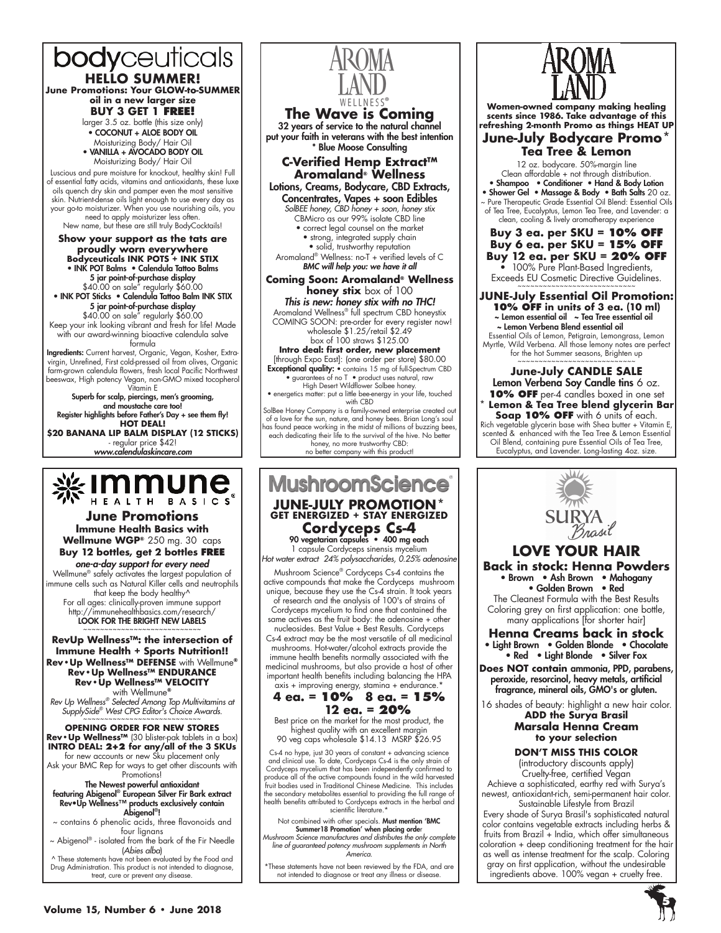# bodyceuticals

**HELLO SUMMER! June Promotions: Your GLOW-to-SUMMER oil in a new larger size**

**BUY 3 GET 1 FREE!**  larger 3.5 oz. bottle (this size only) • COCONUT + ALOE BODY OIL Moisturizing Body/ Hair Oil • VANILLA + AVOCADO BODY OIL

Moisturizing Body/ Hair Oil

Luscious and pure moisture for knockout, healthy skin! Full of essential fatty acids, vitamins and antioxidants, these luxe oils quench dry skin and pamper even the most sensitive skin. Nutrient-dense oils light enough to use every day as your go-to moisturizer. When you use nourishing oils, you need to apply moisturizer less often.

New name, but these are still truly BodyCocktails!

**Show your support as the tats are proudly worn everywhere Bodyceuticals INK POTS + INK STIX** • INK POT Balms • Calendula Tattoo Balms 5 jar point-of-purchase display \$40.00 on sale" regularly \$60.00 • INK POT Sticks • Calendula Tattoo Balm INK STIX 5 jar point-of-purchase display \$40.00 on sale" regularly \$60.00 Keep your ink looking vibrant and fresh for life! Made with our award-winning bioactive calendula salve formula **Ingredients:** Current harvest, Organic, Vegan, Kosher, Extra-<br>virgin, Unrefined, First cold-pressed oil from olives, Organic<br>farm-grown calendula flowers, fresh local Pacific Northwest

beeswax, High potency Vegan, non-GMO mixed tocopherol Vitamin E Superb for scalp, piercings, men's grooming,

and moustache care too! Register highlights before Father's Day + see them fly! **HOT DEAL! \$20 BANANA LIP BALM DISPLAY (12 STICKS)**

- regular price \$42! *www.calendulaskincare.com*

# **&IMMUNG**

**June Promotions Immune Health Basics with Wellmune WGP®** 250 mg. 30 caps **Buy 12 bottles, get 2 bottles free**

*one-a-day support for every need* Wellmune® safely activates the largest population of immune cells such as Natural Killer cells and neutrophils that keep the body healthy<sup>^</sup> For all ages: clinically-proven immune support http://immunehealthbasics.com/research/ LOOK FOR THE BRIGHT NEW LABELS ~~~~~~~~~~~~~~~~~~~~~~~~

**RevUp Wellness™: the intersection of Immune Health + Sports Nutrition!! Rev•Up Wellness™ DEFENSE** with Wellmune**® Rev•Up Wellness™ ENDURANCE Rev•Up Wellness™ VELOCITY** with Wellmune**®**

Rev Up Wellness*®* Selected Among Top Multivitamins at SupplySide<sup>®</sup> West CPG Editor's Choice Awards.

**Opening Order for new stores Rev•Up Wellness™** (30 blister-pak tablets in a box) **INTRO DEAL: 2+2 for any/all of the 3 SKUs** for new accounts or new Sku placement only

Ask your BMC Rep for ways to get other discounts with Promotions!

# The Newest powerful antioxidant

featuring Abigenol® European Silver Fir Bark extract Rev•Up Wellness™ products exclusively contain Abigenol®!

~ contains 6 phenolic acids, three flavonoids and four lignans

~ Abigenol® - isolated from the bark of the Fir Needle (Abies alba)<br>A These statements have not been evaluated by the Food and

Drug Administration. This product is not intended to diagnose, treat, cure or prevent any disease.



**The Wave is Coming** 32 years of service to the natural channel put your faith in veterans with the best intention \* Blue Moose Consulting

**C-Verified Hemp Extract™ Aromaland® Wellness** Lotions, Creams, Bodycare, CBD Extracts, Concentrates, Vapes + soon Edibles SolBEE honey, CBD honey + soon, honey stix

CBMicro as our 99% isolate CBD line • correct legal counsel on the market • strong, integrated supply chain • solid, trustworthy reputation

Aromaland® Wellness: no-T + verified levels of C BMC will help you: we have it all

**Coming Soon: Aromaland® Wellness honey stix** box of 100 This is new: honey stix with no THC! Aromaland Wellness® full spectrum CBD honeystix COMING SOON: pre-order for every register now!

wholesale \$1.25/retail \$2.49 box of 100 straws \$125.00 **Intro deal: first order, new placement** 

[through Expo East]: (one order per store) \$80.00

Exceptional quality: • contains 15 mg of full-Spectrum CBD<br>• guarantees of no T • product uses natural, raw<br>High Desert Wildflower Solbee honey.<br>• energetics matter: put a little bee-energy in your life, touched<br>with CBD

SolBee Honey Company is a family-owned enterprise created out of a love for the sun, nature, and honey bees. Brian Long's soul has found peace working in the midst of millions of buzzing bees, each dedicating their life to the survival of the hive. No better honey, no more trustworthy CBD: no better company with this product!

# **MushroomScience JUNE-JULY PROMOTION\***

# **GET ENERGIZED + STAY ENERGIZED Cordyceps Cs-4** 90 vegetarian capsules • 400 mg each

1 capsule Cordyceps sinensis mycelium Hot water extract 24% polysaccharides, 0.25% adenosine

Mushroom Science® Cordyceps Cs-4 contains the active compounds that make the Cordyceps mushroom unique, because they use the Cs-4 strain. It took years of research and the analysis of 100's of strains of Cordyceps mycelium to find one that contained the same actives as the fruit body: the adenosine + other nucleosides. Best Value + Best Results. Cordyceps Cs-4 extract may be the most versatile of all medicinal mushrooms. Hot-water/alcohol extracts provide the immune health benefits normally associated with the medicinal mushrooms, but also provide a host of other important health benefits including balancing the HPA

### axis + improving energy, stamina + endurance.\* **4 ea. = 10% 8 ea. = 15% 12 ea. = 20%**

Best price on the market for the most product, the highest quality with an excellent margin 90 veg caps wholesale \$14.13 MSRP \$26.95

Cs-4 no hype, just 30 years of constant + advancing science and clinical use. To date, Cordyceps Cs-4 is the only strain of Cordyceps mycelium that has been independently confirmed to produce all of the active compounds found in the wild harvested fruit bodies used in Traditional Chinese Medicine. This includes the secondary metabolites essential to providing the full range of health benefits attributed to Cordyceps extracts in the herbal and scientific literature.<sup>\*</sup>

Not combined with other specials. Must mention 'BMC Summer18 Promotion' when placing order Mushroom Science manufactures and distributes the only complete line of guaranteed potency mushroom supplements in North America.

\*These statements have not been reviewed by the FDA, and are not intended to diagnose or treat any illness or disease.



**Women-owned company making healing scents since 1986. Take advantage of this refreshing 2-month Promo as things HEAT UP**

### **June-July Bodycare Promo\* Tea Tree & Lemon**

12 oz. bodycare. 50%-margin line Clean affordable + not through distribution. • Shampoo • Conditioner • Hand & Body Lotion

• Shower Gel • Massage & Body • Bath Salts 20 oz. ~ Pure Therapeutic Grade Essential Oil Blend: Essential Oils of Tea Tree, Eucalyptus, Lemon Tea Tree, and Lavender: a clean, cooling & lively aromatherapy experience

### **Buy 3 ea. per SKU = 10% OFF Buy 6 ea. per SKU = 15% OFF Buy 12 ea. per SKU = 20% OFF**

100% Pure Plant-Based Ingredients, Exceeds EU Cosmetic Directive Guidelines.

**JUNE-July Essential Oil Promotion: 10% OFF in units of 3 ea. (10 ml)** ~ Lemon essential oil ~ Tea Tree essential oil ~ Lemon Verbena Blend essential oil Essential Oils of Lemon, Petigrain, Lemongrass, Lemon

Myrtle, Wild Verbena. All those lemony notes are perfect for the hot Summer seasons, Brighten up ~~~~~~~~~~~~~~~~~~~~~~~~

**June-July CANDLE SALE** Lemon Verbena Soy Candle tins 6 oz. **10% OFF** per-4 candles boxed in one set **\* Lemon & Tea Tree blend glycerin Bar Soap 10% OFF** with 6 units of each. Rich vegetable glycerin base with Shea butter + Vitamin E, scented & enhanced with the Tea Tree & Lemon Essential Oil Blend, containing pure Essential Oils of Tea Tree, Eucalyptus, and Lavender. Long-lasting 4oz. size.



# **LOVE YOUR HAIR**

**Back in stock: Henna Powders** • Brown • Ash Brown • Mahogany • Golden Brown • Red The Cleanest Formula with the Best Results Coloring grey on first application: one bottle,

many applications [for shorter hair] **Henna Creams back in stock** • Light Brown • Golden Blonde • Chocolate

• Red • Light Blonde • Silver Fox

**Does NOT contain** ammonia, PPD, parabens, peroxide, resorcinol, heavy metals, artificial fragrance, mineral oils, GMO's or gluten.

16 shades of beauty: highlight a new hair color.

### **ADD the Surya Brasil Marsala Henna Cream to your selection**

### **DON'T MISS THIS COLOR**

(introductory discounts apply) Cruelty-free, certified Vegan Achieve a sophisticated, earthy red with Surya's newest, antioxidant-rich, semi-permanent hair color.

Sustainable Lifestyle from Brazil Every shade of Surya Brasil's sophisticated natural color contains vegetable extracts including herbs & fruits from Brazil + India, which offer simultaneous coloration + deep conditioning treatment for the hair as well as intense treatment for the scalp. Coloring gray on first application, without the undesirable ingredients above. 100% vegan + cruelty free.

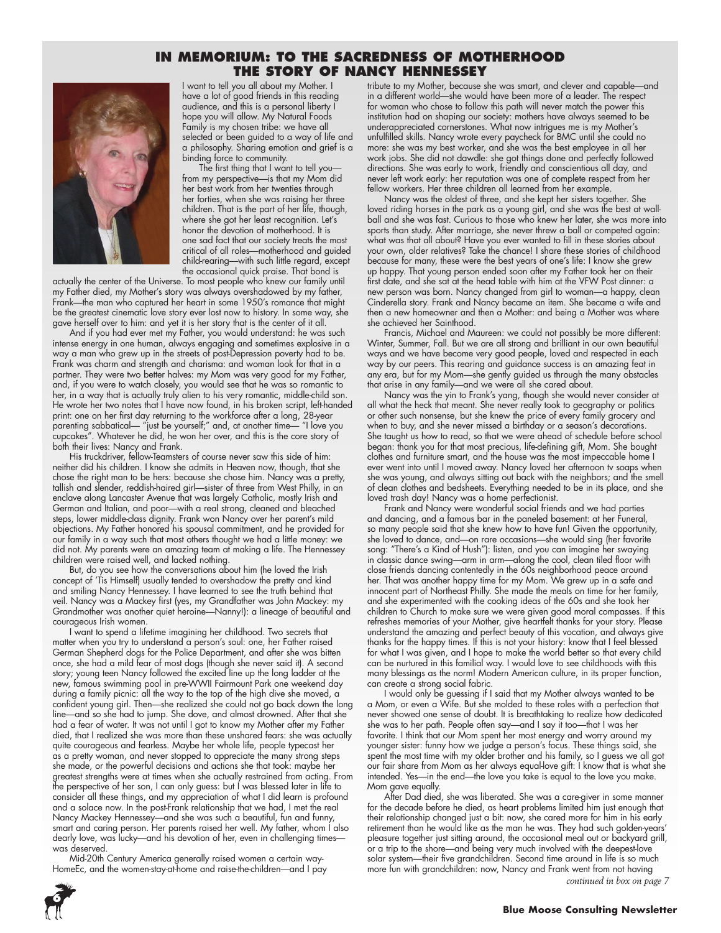### **In Memorium: to the Sacredness of Motherhood The Story of Nancy Hennessey**



I want to tell you all about my Mother. I have a lot of good friends in this reading audience, and this is a personal liberty I hope you will allow. My Natural Foods Family is my chosen tribe: we have all selected or been guided to a way of life and a philosophy. Sharing emotion and grief is a binding force to community.

The first thing that I want to tell you from my perspective—is that my Mom did her best work from her twenties through her forties, when she was raising her three children. That is the part of her life, though, where she got her least recognition. Let's honor the devotion of motherhood. It is one sad fact that our society treats the most critical of all roles—motherhood and guided child-rearing—with such little regard, except the occasional quick praise. That bond is

actually the center of the Universe. To most people who knew our family until my Father died, my Mother's story was always overshadowed by my father, Frank—the man who captured her heart in some 1950's romance that might be the greatest cinematic love story ever lost now to history. In some way, she gave herself over to him: and yet it is her story that is the center of it all.

And if you had ever met my Father, you would understand: he was such intense energy in one human, always engaging and sometimes explosive in a way a man who grew up in the streets of post-Depression poverty had to be. Frank was charm and strength and charisma: and woman look for that in a partner. They were two better halves: my Mom was very good for my Father, and, if you were to watch closely, you would see that he was so romantic to her, in a way that is actually truly alien to his very romantic, middle-child son. He wrote her two notes that I have now found, in his broken script, left-handed print: one on her first day returning to the workforce after a long, 28-year parenting sabbatical— "just be yourself;" and, at another time— "I love you cupcakes". Whatever he did, he won her over, and this is the core story of both their lives: Nancy and Frank.

His truckdriver, fellow-Teamsters of course never saw this side of him: neither did his children. I know she admits in Heaven now, though, that she chose the right man to be hers: because she chose him. Nancy was a pretty, tallish and slender, reddish-haired girl—sister of three from West Philly, in an enclave along Lancaster Avenue that was largely Catholic, mostly Irish and German and Italian, and poor—with a real strong, cleaned and bleached steps, lower middle-class dignity. Frank won Nancy over her parent's mild objections. My Father honored his spousal commitment, and he provided for our family in a way such that most others thought we had a little money: we did not. My parents were an amazing team at making a life. The Hennessey children were raised well, and lacked nothing.

But, do you see how the conversations about him (he loved the Irish concept of 'Tis Himself) usually tended to overshadow the pretty and kind and smiling Nancy Hennessey. I have learned to see the truth behind that veil. Nancy was a Mackey first (yes, my Grandfather was John Mackey: my Grandmother was another quiet heroine—Nanny!): a lineage of beautiful and courageous Irish women.

I want to spend a lifetime imagining her childhood. Two secrets that matter when you try to understand a person's soul: one, her Father raised German Shepherd dogs for the Police Department, and after she was bitten once, she had a mild fear of most dogs (though she never said it). A second story; young teen Nancy followed the excited line up the long ladder at the new, famous swimming pool in pre-WWII Fairmount Park one weekend day during a family picnic: all the way to the top of the high dive she moved, a confident young girl. Then—she realized she could not go back down the long line—and so she had to jump. She dove, and almost drowned. After that she had a fear of water. It was not until I got to know my Mother after my Father died, that I realized she was more than these unshared fears: she was actually quite courageous and fearless. Maybe her whole life, people typecast her as a pretty woman, and never stopped to appreciate the many strong steps she made, or the powerful decisions and actions she that took: maybe her greatest strengths were at times when she actually restrained from acting. From the perspective of her son, I can only guess: but I was blessed later in life to consider all these things, and my appreciation of what I did learn is profound and a solace now. In the post-Frank relationship that we had, I met the real Nancy Mackey Hennessey—and she was such a beautiful, fun and funny, smart and caring person. Her parents raised her well. My father, whom I also dearly love, was lucky—and his devotion of her, even in challenging times was deserved.

Mid-20th Century America generally raised women a certain way-HomeEc, and the women-stay-at-home and raise-the-children—and I pay tribute to my Mother, because she was smart, and clever and capable—and in a different world—she would have been more of a leader. The respect for woman who chose to follow this path will never match the power this institution had on shaping our society: mothers have always seemed to be underappreciated cornerstones. What now intrigues me is my Mother's unfulfilled skills. Nancy wrote every paycheck for BMC until she could no more: she was my best worker, and she was the best employee in all her work jobs. She did not dawdle: she got things done and perfectly followed directions. She was early to work, friendly and conscientious all day, and never left work early: her reputation was one of complete respect from her fellow workers. Her three children all learned from her example.

Nancy was the oldest of three, and she kept her sisters together. She loved riding horses in the park as a young girl, and she was the best at wallball and she was fast. Curious to those who knew her later, she was more into sports than study. After marriage, she never threw a ball or competed again: what was that all about? Have you ever wanted to fill in these stories about your own, older relatives? Take the chance! I share these stories of childhood because for many, these were the best years of one's life: I know she grew up happy. That young person ended soon after my Father took her on their first date, and she sat at the head table with him at the VFW Post dinner: a new person was born. Nancy changed from girl to woman—a happy, clean Cinderella story. Frank and Nancy became an item. She became a wife and then a new homeowner and then a Mother: and being a Mother was where she achieved her Sainthood.

Francis, Michael and Maureen: we could not possibly be more different: Winter, Summer, Fall. But we are all strong and brilliant in our own beautiful ways and we have become very good people, loved and respected in each way by our peers. This rearing and guidance success is an amazing feat in any era, but for my Mom—she gently guided us through the many obstacles that arise in any family—and we were all she cared about.

Nancy was the yin to Frank's yang, though she would never consider at all what the heck that meant. She never really took to geography or politics or other such nonsense, but she knew the price of every family grocery and when to buy, and she never missed a birthday or a season's decorations. She taught us how to read, so that we were ahead of schedule before school began: thank you for that most precious, life-defining gift, Mom. She bought clothes and furniture smart, and the house was the most impeccable home I ever went into until I moved away. Nancy loved her afternoon tv soaps when she was young, and always sitting out back with the neighbors; and the smell of clean clothes and bedsheets. Everything needed to be in its place, and she loved trash day! Nancy was a home perfectionist.

Frank and Nancy were wonderful social friends and we had parties and dancing, and a famous bar in the paneled basement: at her Funeral, so many people said that she knew how to have fun! Given the opportunity, she loved to dance, and—on rare occasions—she would sing (her favorite song: "There's a Kind of Hush"): listen, and you can imagine her swaying in classic dance swing—arm in arm—along the cool, clean tiled floor with close friends dancing contentedly in the 60s neighborhood peace around her. That was another happy time for my Mom. We grew up in a safe and innocent part of Northeast Philly. She made the meals on time for her family, and she experimented with the cooking ideas of the 60s and she took her children to Church to make sure we were given good moral compasses. If this refreshes memories of your Mother, give heartfelt thanks for your story. Please understand the amazing and perfect beauty of this vocation, and always give thanks for the happy times. If this is not your history: know that I feel blessed for what I was given, and I hope to make the world better so that every child can be nurtured in this familial way. I would love to see childhoods with this many blessings as the norm! Modern American culture, in its proper function, can create a strong social fabric.

I would only be guessing if I said that my Mother always wanted to be a Mom, or even a Wife. But she molded to these roles with a perfection that never showed one sense of doubt. It is breathtaking to realize how dedicated she was to her path. People often say—and I say it too—that I was her favorite. I think that our Mom spent her most energy and worry around my younger sister: funny how we judge a person's focus. These things said, she spent the most time with my older brother and his family, so I guess we all got our fair share from Mom as her always equal-love gift: I know that is what she intended. Yes—in the end—the love you take is equal to the love you make. Mom gave equally.

After Dad died, she was liberated. She was a care-giver in some manner for the decade before he died, as heart problems limited him just enough that their relationship changed just a bit: now, she cared more for him in his early retirement than he would like as the man he was. They had such golden-years' pleasure together just sitting around, the occasional meal out or backyard grill, or a trip to the shore—and being very much involved with the deepest-love solar system—their five grandchildren. Second time around in life is so much more fun with grandchildren: now, Nancy and Frank went from not having *continued in box on page 7*

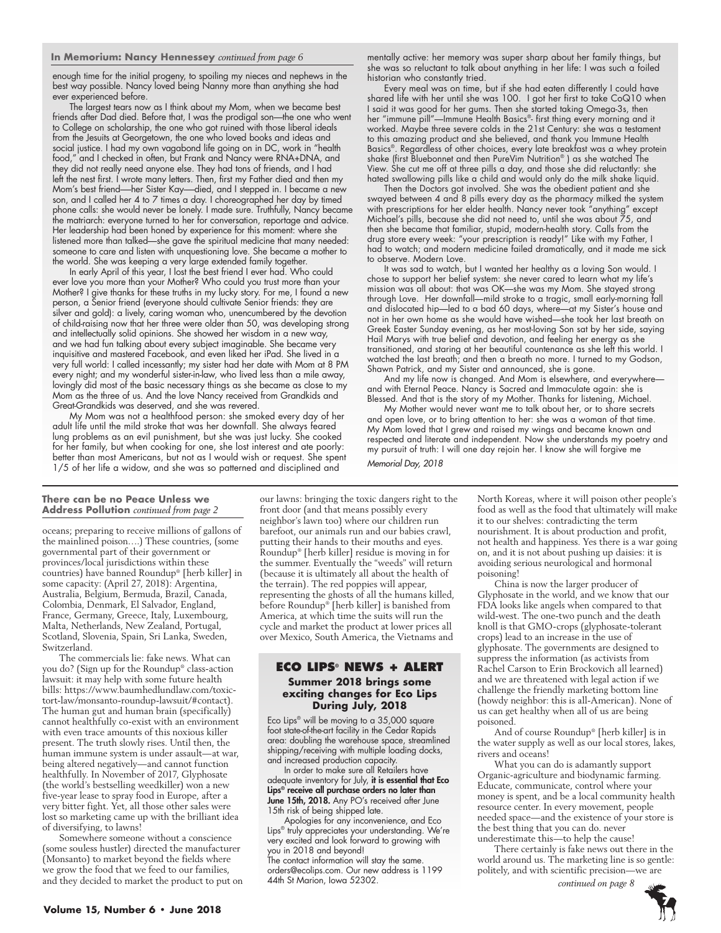#### **In Memorium: Nancy Hennessey** *continued from page 6*

enough time for the initial progeny, to spoiling my nieces and nephews in the best way possible. Nancy loved being Nanny more than anything she had ever experienced before.

The largest tears now as I think about my Mom, when we became best friends after Dad died. Before that, I was the prodigal son—the one who went to College on scholarship, the one who got ruined with those liberal ideals from the Jesuits at Georgetown, the one who loved books and ideas and social justice. I had my own vagabond life going on in DC, work in "health food," and I checked in often, but Frank and Nancy were RNA+DNA, and they did not really need anyone else. They had tons of friends, and I had left the nest first. I wrote many letters. Then, first my Father died and then my Mom's best friend-her Sister Kay-died, and I stepped in. I became a new son, and I called her 4 to 7 times a day. I choreographed her day by timed phone calls: she would never be lonely. I made sure. Truthfully, Nancy became the matriarch: everyone turned to her for conversation, reportage and advice. Her leadership had been honed by experience for this moment: where she listened more than talked—she gave the spiritual medicine that many needed: someone to care and listen with unquestioning love. She became a mother to the world. She was keeping a very large extended family together.

In early April of this year, I lost the best friend I ever had. Who could ever love you more than your Mother? Who could you trust more than your Mother? I give thanks for these truths in my lucky story. For me, I found a new person, a Senior friend (everyone should cultivate Senior friends: they are silver and gold): a lively, caring woman who, unencumbered by the devotion of child-raising now that her three were older than 50, was developing strong and intellectually solid opinions. She showed her wisdom in a new way, and we had fun talking about every subject imaginable. She became very inquisitive and mastered Facebook, and even liked her iPad. She lived in a very full world: I called incessantly; my sister had her date with Mom at 8 PM every night; and my wonderful sister-in-law, who lived less than a mile away, lovingly did most of the basic necessary things as she became as close to my Mom as the three of us. And the love Nancy received from Grandkids and Great-Grandkids was deserved, and she was revered.

My Mom was not a healthfood person: she smoked every day of her adult life until the mild stroke that was her downfall. She always feared lung problems as an evil punishment, but she was just lucky. She cooked for her family, but when cooking for one, she lost interest and ate poorly: better than most Americans, but not as I would wish or request. She spent 1/5 of her life a widow, and she was so patterned and disciplined and

mentally active: her memory was super sharp about her family things, but she was so reluctant to talk about anything in her life: I was such a foiled historian who constantly tried.

Every meal was on time, but if she had eaten differently I could have shared life with her until she was 100. I got her first to take CoQ10 when I said it was good for her gums. Then she started taking Omega-3s, then her "immune pill"—Immune Health Basics®- first thing every morning and it worked. Maybe three severe colds in the 21st Century: she was a testament to this amazing product and she believed, and thank you Immune Health Basics®. Regardless of other choices, every late breakfast was a whey protein shake (first Bluebonnet and then PureVim Nutrition® ) as she watched The View. She cut me off at three pills a day, and those she did reluctantly: she hated swallowing pills like a child and would only do the milk shake liquid.

Then the Doctors got involved. She was the obedient patient and she swayed between 4 and 8 pills every day as the pharmacy milked the system with prescriptions for her elder health. Nancy never took "anything" except Michael's pills, because she did not need to, until she was about 75, and then she became that familiar, stupid, modern-health story. Calls from the drug store every week: "your prescription is ready!" Like with my Father, I had to watch; and modern medicine failed dramatically, and it made me sick to observe. Modern Love.

It was sad to watch, but I wanted her healthy as a loving Son would. I chose to support her belief system: she never cared to learn what my life's mission was all about: that was OK—she was my Mom. She stayed strong through Love. Her downfall—mild stroke to a tragic, small early-morning fall and dislocated hip—led to a bad 60 days, where—at my Sister's house and not in her own home as she would have wished—she took her last breath on Greek Easter Sunday evening, as her most-loving Son sat by her side, saying Hail Marys with true belief and devotion, and feeling her energy as she transitioned, and staring at her beautiful countenance as she left this world. I watched the last breath; and then a breath no more. I turned to my Godson, Shawn Patrick, and my Sister and announced, she is gone.

And my life now is changed. And Mom is elsewhere, and everywhere and with Eternal Peace. Nancy is Sacred and Immaculate again: she is Blessed. And that is the story of my Mother. Thanks for listening, Michael.

My Mother would never want me to talk about her, or to share secrets and open love, or to bring attention to her: she was a woman of that time. My Mom loved that I grew and raised my wings and became known and respected and literate and independent. Now she understands my poetry and my pursuit of truth: I will one day rejoin her. I know she will forgive me Memorial Day, 2018

#### **There can be no Peace Unless we Address Pollution** *continued from page 2*

oceans; preparing to receive millions of gallons of the mainlined poison….) These countries, (some governmental part of their government or provinces/local jurisdictions within these countries) have banned Roundup® [herb killer] in some capacity: (April 27, 2018): Argentina, Australia, Belgium, Bermuda, Brazil, Canada, Colombia, Denmark, El Salvador, England, France, Germany, Greece, Italy, Luxembourg, Malta, Netherlands, New Zealand, Portugal, Scotland, Slovenia, Spain, Sri Lanka, Sweden, Switzerland.

The commercials lie: fake news. What can you do? (Sign up for the Roundup® class-action lawsuit: it may help with some future health bills: https://www.baumhedlundlaw.com/toxictort-law/monsanto-roundup-lawsuit/#contact). The human gut and human brain (specifically) cannot healthfully co-exist with an environment with even trace amounts of this noxious killer present. The truth slowly rises. Until then, the human immune system is under assault—at war, being altered negatively—and cannot function healthfully. In November of 2017, Glyphosate (the world's bestselling weedkiller) won a new five-year lease to spray food in Europe, after a very bitter fight. Yet, all those other sales were lost so marketing came up with the brilliant idea of diversifying, to lawns!

Somewhere someone without a conscience (some souless hustler) directed the manufacturer (Monsanto) to market beyond the fields where we grow the food that we feed to our families, and they decided to market the product to put on our lawns: bringing the toxic dangers right to the front door (and that means possibly every neighbor's lawn too) where our children run barefoot, our animals run and our babies crawl, putting their hands to their mouths and eyes. Roundup® [herb killer] residue is moving in for the summer. Eventually the "weeds" will return (because it is ultimately all about the health of the terrain). The red poppies will appear, representing the ghosts of all the humans killed, before Roundup® [herb killer] is banished from America, at which time the suits will run the cycle and market the product at lower prices all over Mexico, South America, the Vietnams and

### **Eco Lips® NEWS + ALERT Summer 2018 brings some exciting changes for Eco Lips During July, 2018**

Eco Lips® will be moving to a 35,000 square foot state-of-the-art facility in the Cedar Rapids area: doubling the warehouse space, streamlined shipping/receiving with multiple loading docks, and increased production capacity.

In order to make sure all Retailers have adequate inventory for July, it is essential that Eco Lips® receive all purchase orders no later than June 15th, 2018. Any PO's received after June 15th risk of being shipped late.

Apologies for any inconvenience, and Eco Lips® truly appreciates your understanding. We're very excited and look forward to growing with you in 2018 and beyond!

The contact information will stay the same. orders@ecolips.com. Our new address is 1199 44th St Marion, Iowa 52302.

North Koreas, where it will poison other people's food as well as the food that ultimately will make it to our shelves: contradicting the term nourishment. It is about production and profit, not health and happiness. Yes there is a war going on, and it is not about pushing up daisies: it is avoiding serious neurological and hormonal poisoning!

China is now the larger producer of Glyphosate in the world, and we know that our FDA looks like angels when compared to that wild-west. The one-two punch and the death knoll is that GMO-crops (glyphosate-tolerant crops) lead to an increase in the use of glyphosate. The governments are designed to suppress the information (as activists from Rachel Carson to Erin Brockovich all learned) and we are threatened with legal action if we challenge the friendly marketing bottom line (howdy neighbor: this is all-American). None of us can get healthy when all of us are being poisoned.

And of course Roundup® [herb killer] is in the water supply as well as our local stores, lakes, rivers and oceans!

What you can do is adamantly support Organic-agriculture and biodynamic farming. Educate, communicate, control where your money is spent, and be a local community health resource center. In every movement, people needed space—and the existence of your store is the best thing that you can do. never underestimate this—to help the cause!

There certainly is fake news out there in the world around us. The marketing line is so gentle: politely, and with scientific precision—we are

 *continued on page 8*